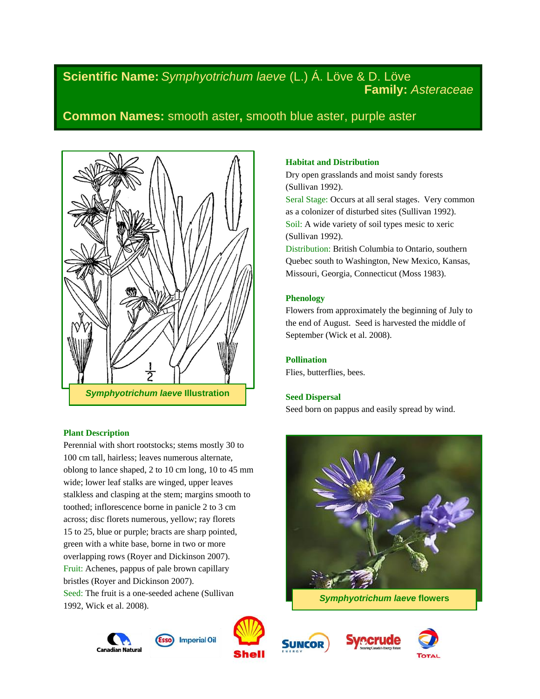# **Scientific Name:** *Symphyotrichum laeve* (L.) Á. Löve & D. Löve **Family:** *Asteraceae*

# **Common Names:** smooth aster**,** smooth blue aster, purple aster



# **Plant Description**

Perennial with short rootstocks; stems mostly 30 to 100 cm tall, hairless; leaves numerous alternate, oblong to lance shaped, 2 to 10 cm long, 10 to 45 mm wide; lower leaf stalks are winged, upper leaves stalkless and clasping at the stem; margins smooth to toothed; inflorescence borne in panicle 2 to 3 cm across; disc florets numerous, yellow; ray florets 15 to 25, blue or purple; bracts are sharp pointed, green with a white base, borne in two or more overlapping rows (Royer and Dickinson 2007). Fruit: Achenes, pappus of pale brown capillary bristles (Royer and Dickinson 2007). Seed: The fruit is a one-seeded achene (Sullivan 1992, Wick et al. 2008).

# **Habitat and Distribution**

Dry open grasslands and moist sandy forests (Sullivan 1992).

Seral Stage: Occurs at all seral stages. Very common as a colonizer of disturbed sites (Sullivan 1992). Soil: A wide variety of soil types mesic to xeric (Sullivan 1992).

Distribution: British Columbia to Ontario, southern Quebec south to Washington, New Mexico, Kansas, Missouri, Georgia, Connecticut (Moss 1983).

# **Phenology**

Flowers from approximately the beginning of July to the end of August. Seed is harvested the middle of September (Wick et al. 2008).

# **Pollination**

Flies, butterflies, bees.

# **Seed Dispersal**

Seed born on pappus and easily spread by wind.



*Symphyotrichum laeve* **flowers**









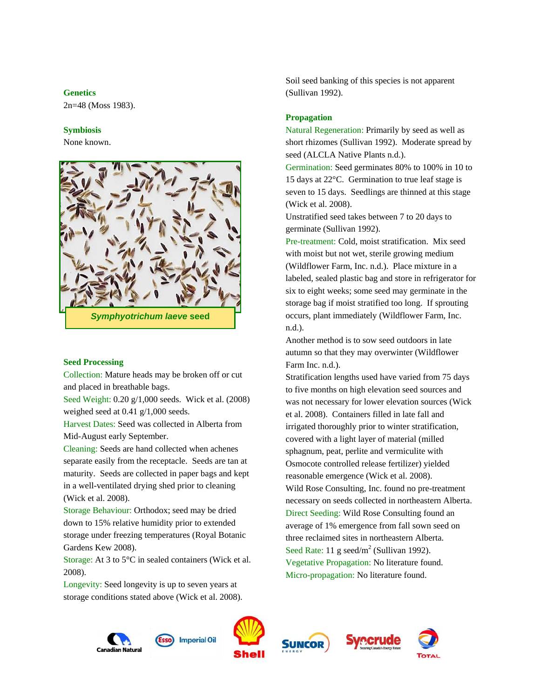#### **Genetics**

2n=48 (Moss 1983).

#### **Symbiosis**

None known.



#### **Seed Processing**

Collection: Mature heads may be broken off or cut and placed in breathable bags.

Seed Weight: 0.20 g/1,000 seeds. Wick et al. (2008) weighed seed at 0.41 g/1,000 seeds.

Harvest Dates: Seed was collected in Alberta from Mid-August early September.

Cleaning: Seeds are hand collected when achenes separate easily from the receptacle. Seeds are tan at maturity. Seeds are collected in paper bags and kept in a well-ventilated drying shed prior to cleaning (Wick et al. 2008).

Storage Behaviour: Orthodox; seed may be dried down to 15% relative humidity prior to extended storage under freezing temperatures (Royal Botanic Gardens Kew 2008).

Storage: At 3 to 5°C in sealed containers (Wick et al. 2008).

Longevity: Seed longevity is up to seven years at storage conditions stated above (Wick et al. 2008). Soil seed banking of this species is not apparent (Sullivan 1992).

#### **Propagation**

Natural Regeneration: Primarily by seed as well as short rhizomes (Sullivan 1992). Moderate spread by seed (ALCLA Native Plants n.d.).

Germination: Seed germinates 80% to 100% in 10 to 15 days at 22°C. Germination to true leaf stage is seven to 15 days. Seedlings are thinned at this stage (Wick et al. 2008).

Unstratified seed takes between 7 to 20 days to germinate (Sullivan 1992).

Pre-treatment: Cold, moist stratification. Mix seed with moist but not wet, sterile growing medium (Wildflower Farm, Inc. n.d.). Place mixture in a labeled, sealed plastic bag and store in refrigerator for six to eight weeks; some seed may germinate in the storage bag if moist stratified too long. If sprouting occurs, plant immediately (Wildflower Farm, Inc. n.d.).

Another method is to sow seed outdoors in late autumn so that they may overwinter (Wildflower Farm Inc. n.d.).

Stratification lengths used have varied from 75 days to five months on high elevation seed sources and was not necessary for lower elevation sources (Wick et al. 2008). Containers filled in late fall and irrigated thoroughly prior to winter stratification, covered with a light layer of material (milled sphagnum, peat, perlite and vermiculite with Osmocote controlled release fertilizer) yielded reasonable emergence (Wick et al. 2008). Wild Rose Consulting, Inc. found no pre-treatment necessary on seeds collected in northeastern Alberta. Direct Seeding: Wild Rose Consulting found an average of 1% emergence from fall sown seed on three reclaimed sites in northeastern Alberta. Seed Rate: 11 g seed/m<sup>2</sup> (Sullivan 1992). Vegetative Propagation: No literature found. Micro-propagation: No literature found.









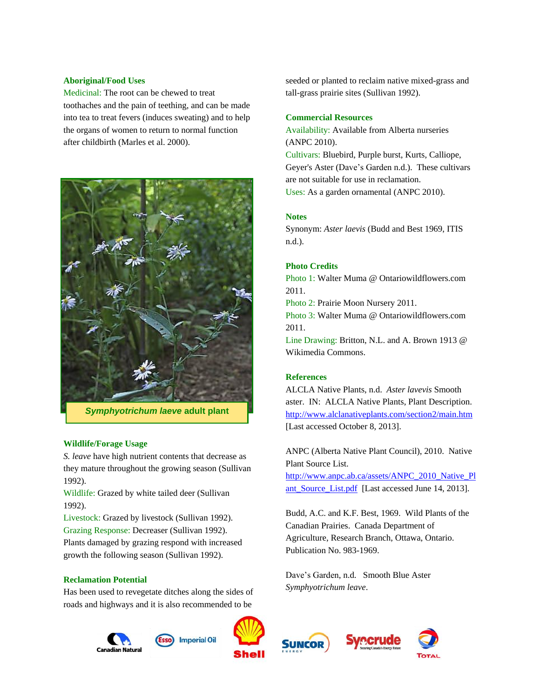### **Aboriginal/Food Uses**

Medicinal: The root can be chewed to treat toothaches and the pain of teething, and can be made into tea to treat fevers (induces sweating) and to help the organs of women to return to normal function after childbirth (Marles et al. 2000).



# *Symphyotrichum laeve* **adult plant**

# **Wildlife/Forage Usage**

*S. leave* have high nutrient contents that decrease as they mature throughout the growing season (Sullivan 1992).

Wildlife: Grazed by white tailed deer (Sullivan 1992).

Livestock: Grazed by livestock (Sullivan 1992).

Grazing Response: Decreaser (Sullivan 1992). Plants damaged by grazing respond with increased

growth the following season (Sullivan 1992).

#### **Reclamation Potential**

Has been used to revegetate ditches along the sides of roads and highways and it is also recommended to be

> **Imperial Oil** Canadian Natura



seeded or planted to reclaim native mixed-grass and tall-grass prairie sites (Sullivan 1992).

# **Commercial Resources**

Availability: Available from Alberta nurseries (ANPC 2010). Cultivars: Bluebird, Purple burst, Kurts, Calliope, Geyer's Aster (Dave's Garden n.d.). These cultivars are not suitable for use in reclamation. Uses: As a garden ornamental (ANPC 2010).

# **Notes**

Synonym: *Aster laevis* (Budd and Best 1969, ITIS n.d.).

### **Photo Credits**

Photo 1: Walter Muma @ Ontariowildflowers.com 2011.

Photo 2: Prairie Moon Nursery 2011.

Photo 3: Walter Muma @ Ontariowildflowers.com 2011.

Line Drawing: Britton, N.L. and A. Brown 1913 @ Wikimedia Commons.

# **References**

ALCLA Native Plants, n.d. *Aster lavevis* Smooth aster. IN: ALCLA Native Plants, Plant Description. <http://www.alclanativeplants.com/section2/main.htm> [Last accessed October 8, 2013].

ANPC (Alberta Native Plant Council), 2010. Native Plant Source List.

[http://www.anpc.ab.ca/assets/ANPC\\_2010\\_Native\\_Pl](http://www.anpc.ab.ca/assets/ANPC_2010_Native_Plant_Source_List.pdf) ant Source List.pdf [Last accessed June 14, 2013].

Budd, A.C. and K.F. Best, 1969. Wild Plants of the Canadian Prairies. Canada Department of Agriculture, Research Branch, Ottawa, Ontario. Publication No. 983-1969.

Dave's Garden, n.d. Smooth Blue Aster *Symphyotrichum leave*.